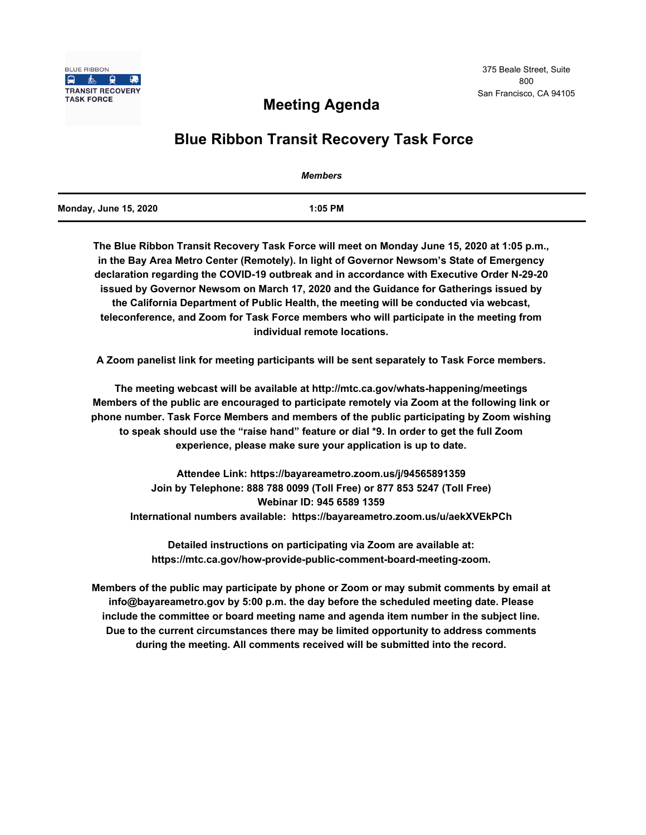

# **Meeting Agenda**

# **Blue Ribbon Transit Recovery Task Force**

|                              | Members   |  |
|------------------------------|-----------|--|
| <b>Monday, June 15, 2020</b> | $1:05$ PM |  |

**The Blue Ribbon Transit Recovery Task Force will meet on Monday June 15, 2020 at 1:05 p.m., in the Bay Area Metro Center (Remotely). In light of Governor Newsom's State of Emergency declaration regarding the COVID-19 outbreak and in accordance with Executive Order N-29-20 issued by Governor Newsom on March 17, 2020 and the Guidance for Gatherings issued by the California Department of Public Health, the meeting will be conducted via webcast, teleconference, and Zoom for Task Force members who will participate in the meeting from individual remote locations.** 

**A Zoom panelist link for meeting participants will be sent separately to Task Force members.**

**The meeting webcast will be available at http://mtc.ca.gov/whats-happening/meetings Members of the public are encouraged to participate remotely via Zoom at the following link or phone number. Task Force Members and members of the public participating by Zoom wishing to speak should use the "raise hand" feature or dial \*9. In order to get the full Zoom experience, please make sure your application is up to date.**

**Attendee Link: https://bayareametro.zoom.us/j/94565891359 Join by Telephone: 888 788 0099 (Toll Free) or 877 853 5247 (Toll Free) Webinar ID: 945 6589 1359 International numbers available: https://bayareametro.zoom.us/u/aekXVEkPCh**

**Detailed instructions on participating via Zoom are available at: https://mtc.ca.gov/how-provide-public-comment-board-meeting-zoom.**

**Members of the public may participate by phone or Zoom or may submit comments by email at info@bayareametro.gov by 5:00 p.m. the day before the scheduled meeting date. Please include the committee or board meeting name and agenda item number in the subject line. Due to the current circumstances there may be limited opportunity to address comments during the meeting. All comments received will be submitted into the record.**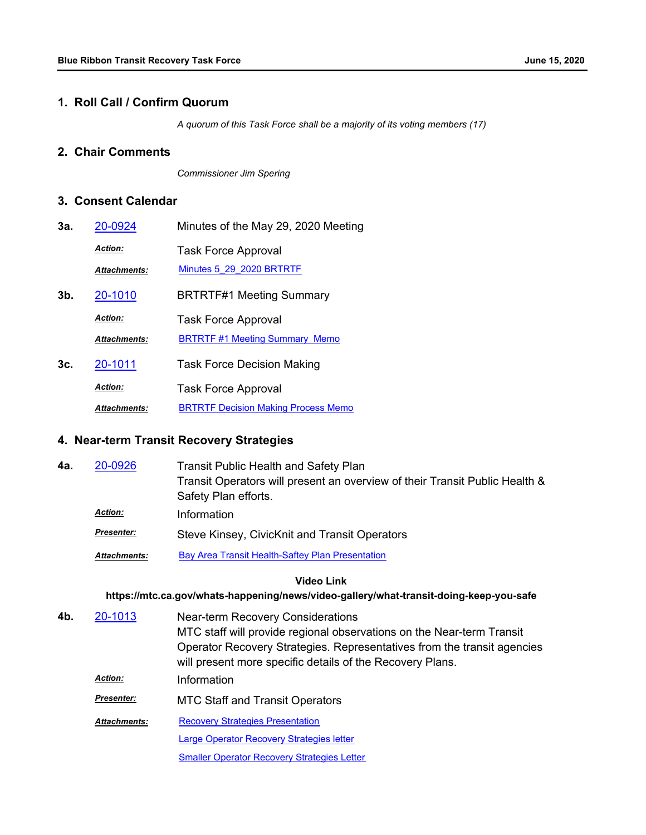### **1. Roll Call / Confirm Quorum**

*A quorum of this Task Force shall be a majority of its voting members (17)*

# **2. Chair Comments**

*Commissioner Jim Spering*

## **3. Consent Calendar**

**4a.** 

**3a.** [20-0924](http://mtc.legistar.com/gateway.aspx?m=l&id=/matter.aspx?key=20788) Minutes of the May 29, 2020 Meeting Task Force Approval *Action: Attachments:* [Minutes 5\\_29\\_2020 BRTRTF](http://mtc.legistar.com/gateway.aspx?M=F&ID=ffe4af8d-cd08-4ca5-9ee2-ee56a6fb3710.pdf) **3b.** [20-1010](http://mtc.legistar.com/gateway.aspx?m=l&id=/matter.aspx?key=20874) BRTRTF#1 Meeting Summary Task Force Approval *Action: Attachments:* [BRTRTF #1 Meeting Summary Memo](http://mtc.legistar.com/gateway.aspx?M=F&ID=d672e57e-b4d5-41ec-90ec-ccefe44dab48.pdf) **3c.** [20-1011](http://mtc.legistar.com/gateway.aspx?m=l&id=/matter.aspx?key=20875) Task Force Decision Making Task Force Approval *Action: Attachments:* [BRTRTF Decision Making Process Memo](http://mtc.legistar.com/gateway.aspx?M=F&ID=73ec72f6-93ab-4582-9340-f154810b8d5f.pdf)

## **4. Near-term Transit Recovery Strategies**

| 20-0926             | <b>Transit Public Health and Safety Plan</b>                                |
|---------------------|-----------------------------------------------------------------------------|
|                     | Transit Operators will present an overview of their Transit Public Health & |
|                     | Safety Plan efforts.                                                        |
| <b>Action:</b>      | Information                                                                 |
| <b>Presenter:</b>   | Steve Kinsey, CivicKnit and Transit Operators                               |
| <b>Attachments:</b> | Bay Area Transit Health-Saftey Plan Presentation                            |

**Video Link**

#### **https://mtc.ca.gov/whats-happening/news/video-gallery/what-transit-doing-keep-you-safe**

Near-term Recovery Considerations MTC staff will provide regional observations on the Near-term Transit Operator Recovery Strategies. Representatives from the transit agencies will present more specific details of the Recovery Plans. **4b.** [20-1013](http://mtc.legistar.com/gateway.aspx?m=l&id=/matter.aspx?key=20877) *Action:* Information MTC Staff and Transit Operators *Presenter:* [Recovery Strategies Presentation](http://mtc.legistar.com/gateway.aspx?M=F&ID=7fbd335c-b8ae-4758-967f-169a7191a808.pdf) **[Large Operator Recovery Strategies letter](http://mtc.legistar.com/gateway.aspx?M=F&ID=b9999192-b395-483b-b79d-0e5641eceea0.pdf) [Smaller Operator Recovery Strategies Letter](http://mtc.legistar.com/gateway.aspx?M=F&ID=2f68d99e-4c25-469c-a787-82f76aca8648.pdf)** *Attachments:*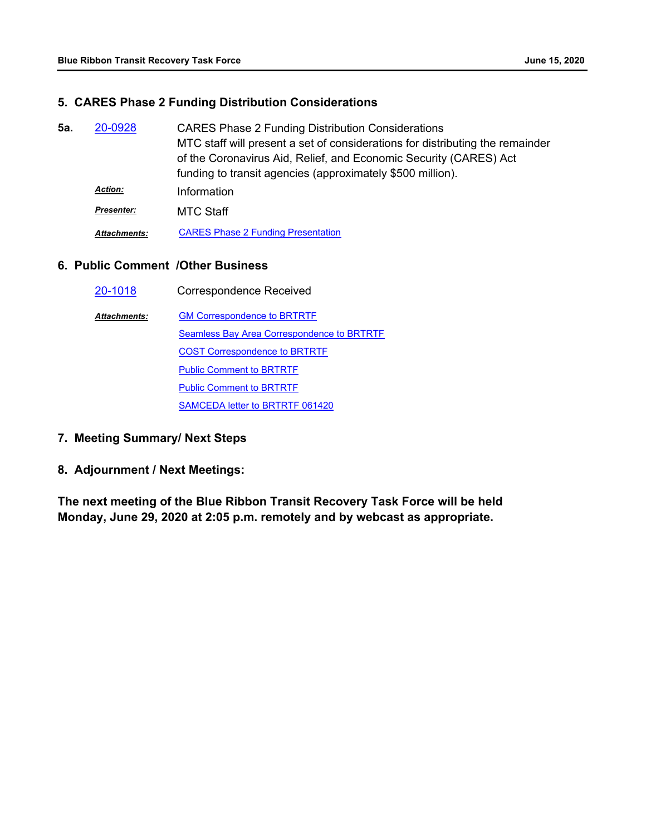## **5. CARES Phase 2 Funding Distribution Considerations**

CARES Phase 2 Funding Distribution Considerations MTC staff will present a set of considerations for distributing the remainder of the Coronavirus Aid, Relief, and Economic Security (CARES) Act funding to transit agencies (approximately \$500 million). **5a.** [20-0928](http://mtc.legistar.com/gateway.aspx?m=l&id=/matter.aspx?key=20792) *Action:* Information **Presenter:** MTC Staff *Attachments:* [CARES Phase 2 Funding Presentation](http://mtc.legistar.com/gateway.aspx?M=F&ID=7ff1cff3-3221-4ef4-8a51-60156b1d3c3c.pdf)

## **6. Public Comment /Other Business**

| 20-1018             | <b>Correspondence Received</b>             |
|---------------------|--------------------------------------------|
| <b>Attachments:</b> | <b>GM Correspondence to BRTRTF</b>         |
|                     | Seamless Bay Area Correspondence to BRTRTF |
|                     | <b>COST Correspondence to BRTRTF</b>       |
|                     | <b>Public Comment to BRTRTF</b>            |
|                     | <b>Public Comment to BRTRTF</b>            |
|                     | SAMCEDA letter to BRTRTF 061420            |

# **7. Meeting Summary/ Next Steps**

## **8. Adjournment / Next Meetings:**

**The next meeting of the Blue Ribbon Transit Recovery Task Force will be held Monday, June 29, 2020 at 2:05 p.m. remotely and by webcast as appropriate.**